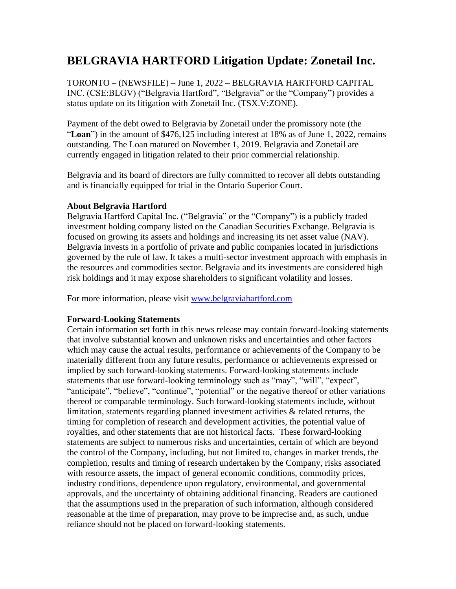## **BELGRAVIA HARTFORD Litigation Update: Zonetail Inc.**

TORONTO – (NEWSFILE) – June 1, 2022 – BELGRAVIA HARTFORD CAPITAL INC. (CSE:BLGV) ("Belgravia Hartford", "Belgravia" or the "Company") provides a status update on its litigation with Zonetail Inc. (TSX.V:ZONE).

Payment of the debt owed to Belgravia by Zonetail under the promissory note (the "**Loan**") in the amount of \$476,125 including interest at 18% as of June 1, 2022, remains outstanding. The Loan matured on November 1, 2019. Belgravia and Zonetail are currently engaged in litigation related to their prior commercial relationship.

Belgravia and its board of directors are fully committed to recover all debts outstanding and is financially equipped for trial in the Ontario Superior Court.

## **About Belgravia Hartford**

Belgravia Hartford Capital Inc. ("Belgravia" or the "Company") is a publicly traded investment holding company listed on the Canadian Securities Exchange. Belgravia is focused on growing its assets and holdings and increasing its net asset value (NAV). Belgravia invests in a portfolio of private and public companies located in jurisdictions governed by the rule of law. It takes a multi-sector investment approach with emphasis in the resources and commodities sector. Belgravia and its investments are considered high risk holdings and it may expose shareholders to significant volatility and losses.

For more information, please visit [www.belgraviahartford.com](http://www.belgraviahartford.com/)

## **Forward-Looking Statements**

Certain information set forth in this news release may contain forward-looking statements that involve substantial known and unknown risks and uncertainties and other factors which may cause the actual results, performance or achievements of the Company to be materially different from any future results, performance or achievements expressed or implied by such forward-looking statements. Forward-looking statements include statements that use forward-looking terminology such as "may", "will", "expect", "anticipate", "believe", "continue", "potential" or the negative thereof or other variations thereof or comparable terminology. Such forward-looking statements include, without limitation, statements regarding planned investment activities & related returns, the timing for completion of research and development activities, the potential value of royalties, and other statements that are not historical facts. These forward-looking statements are subject to numerous risks and uncertainties, certain of which are beyond the control of the Company, including, but not limited to, changes in market trends, the completion, results and timing of research undertaken by the Company, risks associated with resource assets, the impact of general economic conditions, commodity prices, industry conditions, dependence upon regulatory, environmental, and governmental approvals, and the uncertainty of obtaining additional financing. Readers are cautioned that the assumptions used in the preparation of such information, although considered reasonable at the time of preparation, may prove to be imprecise and, as such, undue reliance should not be placed on forward-looking statements.